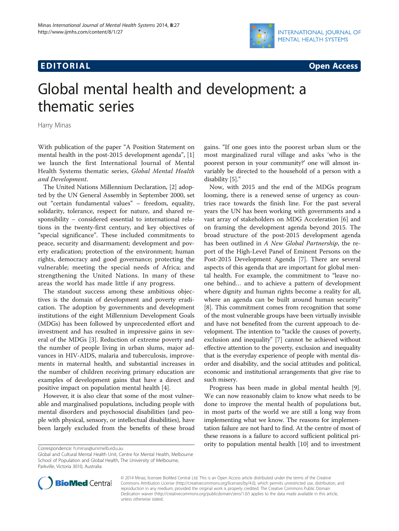## **EDITORIAL** CONTROL CONTROL CONTROL CONTROL CONTROL CONTROL CONTROL CONTROL CONTROL CONTROL CONTROL CONTROL CONTROL CONTROL CONTROL CONTROL CONTROL CONTROL CONTROL CONTROL CONTROL CONTROL CONTROL CONTROL CONTROL CONTROL CO



# Global mental health and development: a thematic series

Harry Minas

With publication of the paper "A Position Statement on mental health in the post-2015 development agenda", [\[1](#page-1-0)] we launch the first International Journal of Mental Health Systems thematic series, Global Mental Health and Development.

The United Nations Millennium Declaration, [\[2\]](#page-1-0) adopted by the UN General Assembly in September 2000, set out "certain fundamental values" – freedom, equality, solidarity, tolerance, respect for nature, and shared responsibility – considered essential to international relations in the twenty-first century, and key objectives of "special significance". These included commitments to peace, security and disarmament; development and poverty eradication; protection of the environment; human rights, democracy and good governance; protecting the vulnerable; meeting the special needs of Africa; and strengthening the United Nations. In many of these areas the world has made little if any progress.

The standout success among these ambitious objectives is the domain of development and poverty eradication. The adoption by governments and development institutions of the eight Millennium Development Goals (MDGs) has been followed by unprecedented effort and investment and has resulted in impressive gains in several of the MDGs [[3\]](#page-1-0). Reduction of extreme poverty and the number of people living in urban slums, major advances in HIV-AIDS, malaria and tuberculosis, improvements in maternal health, and substantial increases in the number of children receiving primary education are examples of development gains that have a direct and positive impact on population mental health [[4\]](#page-1-0).

However, it is also clear that some of the most vulnerable and marginalised populations, including people with mental disorders and psychosocial disabilities (and people with physical, sensory, or intellectual disabilities), have been largely excluded from the benefits of these broad

Global and Cultural Mental Health Unit, Centre for Mental Health, Melbourne School of Population and Global Health, The University of Melbourne, Parkville, Victoria 3010, Australia

gains. "If one goes into the poorest urban slum or the most marginalized rural village and asks 'who is the poorest person in your community?' one will almost invariably be directed to the household of a person with a disability [[5\]](#page-1-0)."

Now, with 2015 and the end of the MDGs program looming, there is a renewed sense of urgency as countries race towards the finish line. For the past several years the UN has been working with governments and a vast array of stakeholders on MDG Acceleration [\[6\]](#page-1-0) and on framing the development agenda beyond 2015. The broad structure of the post-2015 development agenda has been outlined in A New Global Partnership, the report of the High-Level Panel of Eminent Persons on the Post-2015 Development Agenda [[7\]](#page-1-0). There are several aspects of this agenda that are important for global mental health. For example, the commitment to "leave noone behind… and to achieve a pattern of development where dignity and human rights become a reality for all, where an agenda can be built around human security" [[8\]](#page-1-0). This commitment comes from recognition that some of the most vulnerable groups have been virtually invisible and have not benefited from the current approach to development. The intention to "tackle the causes of poverty, exclusion and inequality" [[7\]](#page-1-0) cannot be achieved without effective attention to the poverty, exclusion and inequality that is the everyday experience of people with mental disorder and disability, and the social attitudes and political, economic and institutional arrangements that give rise to such misery.

Progress has been made in global mental health [\[9](#page-1-0)]. We can now reasonably claim to know what needs to be done to improve the mental health of populations but, in most parts of the world we are still a long way from implementing what we know. The reasons for implementation failure are not hard to find. At the centre of most of these reasons is a failure to accord sufficient political priority to population mental health [[10\]](#page-1-0) and to investment Correspondence: [h.minas@unimelb.edu.au](mailto:h.minas@unimelb.edu.au)



© 2014 Minas; licensee BioMed Central Ltd. This is an Open Access article distributed under the terms of the Creative Commons Attribution License [\(http://creativecommons.org/licenses/by/4.0\)](http://creativecommons.org/licenses/by/4.0), which permits unrestricted use, distribution, and reproduction in any medium, provided the original work is properly credited. The Creative Commons Public Domain Dedication waiver [\(http://creativecommons.org/publicdomain/zero/1.0/](http://creativecommons.org/publicdomain/zero/1.0/)) applies to the data made available in this article, unless otherwise stated.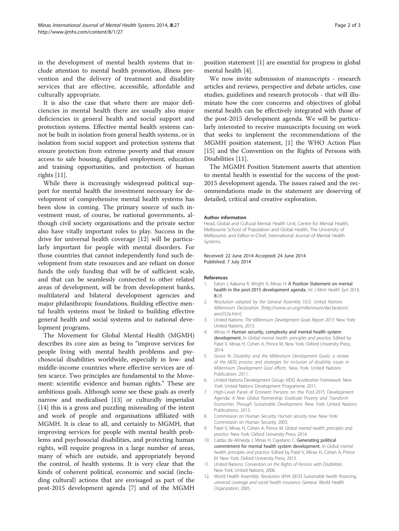<span id="page-1-0"></span>in the development of mental health systems that include attention to mental health promotion, illness prevention and the delivery of treatment and disability services that are effective, accessible, affordable and culturally appropriate.

It is also the case that where there are major deficiencies in mental health there are usually also major deficiencies in general health and social support and protection systems. Effective mental health systems cannot be built in isolation from general health systems, or in isolation from social support and protection systems that ensure protection from extreme poverty and that ensure access to safe housing, dignified employment, education and training opportunities, and protection of human rights [11].

While there is increasingly widespread political support for mental health the investment necessary for development of comprehensive mental health systems has been slow in coming. The primary source of such investment must, of course, be national governments, although civil society organisations and the private sector also have vitally important roles to play. Success in the drive for universal health coverage [12] will be particularly important for people with mental disorders. For those countries that cannot independently fund such development from state resources and are reliant on donor funds the only funding that will be of sufficient scale, and that can be seamlessly connected to other related areas of development, will be from development banks, multilateral and bilateral development agencies and major philanthropic foundations. Building effective mental health systems must be linked to building effective general health and social systems and to national development programs.

The Movement for Global Mental Health (MGMH) describes its core aim as being to "improve services for people living with mental health problems and psychosocial disabilities worldwide, especially in low- and middle-income countries where effective services are often scarce. Two principles are fundamental to the Movement: scientific evidence and human rights." These are ambitious goals. Although some see these goals as overly narrow and medicalised [[13](#page-2-0)] or culturally imperialist [[14\]](#page-2-0) this is a gross and puzzling misreading of the intent and work of people and organisations affiliated with MGMH. It is clear to all, and certainly to MGMH, that improving services for people with mental health problems and psychosocial disabilities, and protecting human rights, will require progress in a large number of areas, many of which are outside, and appropriately beyond the control, of health systems. It is very clear that the kinds of coherent political, economic and social (including cultural) actions that are envisaged as part of the post-2015 development agenda [7] and of the MGMH position statement [1] are essential for progress in global mental health [4].

We now invite submission of manuscripts - research articles and reviews, perspective and debate articles, case studies, guidelines and research protocols - that will illuminate how the core concerns and objectives of global mental health can be effectively integrated with those of the post-2015 development agenda. We will be particularly interested to receive manuscripts focusing on work that seeks to implement the recommendations of the MGMH position statement, [1] the WHO Action Plan [[15\]](#page-2-0) and the Convention on the Rights of Persons with Disabilities [11].

The MGMH Position Statement asserts that attention to mental health is essential for the success of the post-2015 development agenda. The issues raised and the recommendations made in the statement are deserving of detailed, critical and creative exploration.

#### Author information

Head, Global and Cultural Mental Health Unit, Centre for Mental Health, Melbourne School of Population and Global Health, The University of Melbourne; and Editor-in-Chief, International Journal of Mental Health Systems.

Received: 22 June 2014 Accepted: 24 June 2014 Published: 7 July 2014

#### References

- 1. Eaton J, Kakuma R, Wright A, Minas H: A Position Statement on mental health in the post-2015 development agenda. Int J Ment Health Syst 2014, 8:28.
- 2. Resolution adopted by the General Assembly 55/2. United Nations Millennium Declaration. [\[http://www.un.org/millennium/declaration/](http://www.un.org/millennium/declaration/ares552e.htm) [ares552e.htm\]](http://www.un.org/millennium/declaration/ares552e.htm)
- 3. United Nations: The Millennium Development Goals Report 2013. New York: United Nations; 2013.
- 4. Minas H: Human security, complexity and mental health system development. In Global mental health: principles and practice. Edited by Patel V, Minas H, Cohen A, Prince M. New York: Oxford University Press; 2014.
- 5. Groce N: Disability and the Millennium Development Goals: a review of the MDG process and strategies for inclusion of disability issues in Millennium Development Goal efforts. New York: United Nations Publication; 2011.
- 6. United Nations Development Group: MDG Acceleration Framework. New York: United Nations Development Programme; 2011.
- High-Level Panel of Eminent Persons on the Post-2015 Development Agenda: A New Global Partnership: Eradicate Poverty and Transform Economies Through Sustainable Development. New York: United Nations Publications; 2013.
- 8. Commission on Human Security: Human security now. New York: Commission on Human Security; 2003.
- 9. Patel V, Minas H, Cohen A, Prince M: Global mental health: principles and practice. New York: Oxford University Press; 2014.
- 10. Caldas de Almeida J, Minas H, Cayetano C: Generating political commitment for mental health system development. In Global mental health: principles and practice. Edited by Patel V, Minas H, Cohen A, Prince M. New York: Oxford University Press; 2013.
- 11. United Nations: Convention on the Rights of Persons with Disabilities. New York: United Nations; 2006.
- 12. World Health Assembly: Resolution WHA 58/33 Sustainable health financing, universal coverage and social health insurance. Geneva: World Health Organization; 2005.